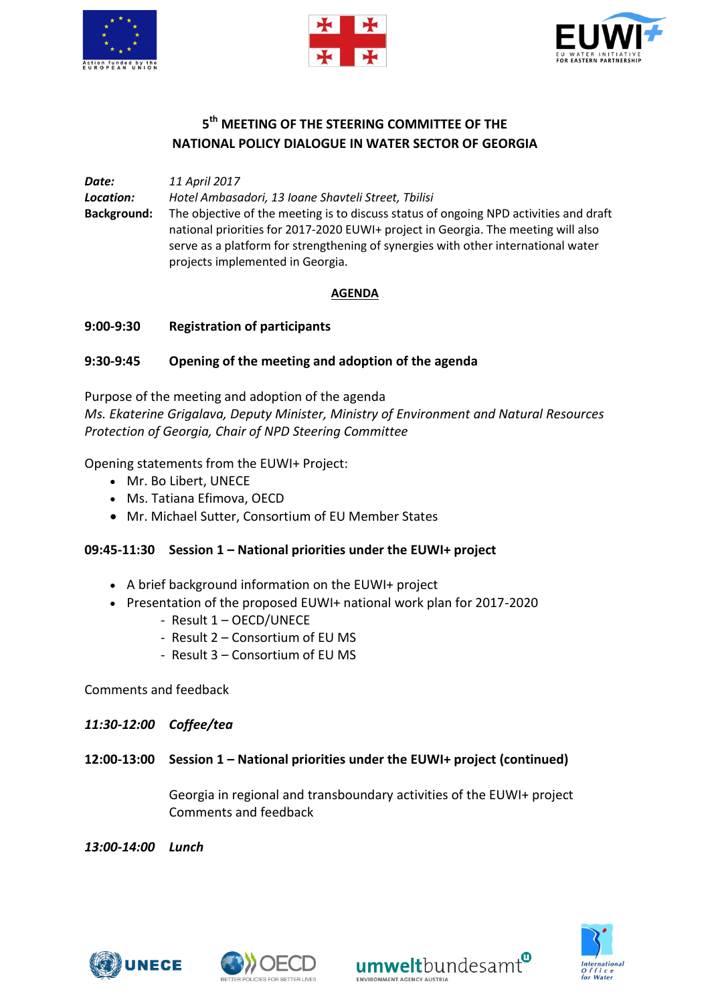





# **5 th MEETING OF THE STEERING COMMITTEE OF THE NATIONAL POLICY DIALOGUE IN WATER SECTOR OF GEORGIA**

*Date: 11 April 2017 Location: Hotel Ambasadori, 13 Ioane Shavteli Street, Tbilisi* **Background:** The objective of the meeting is to discuss status of ongoing NPD activities and draft national priorities for 2017-2020 EUWI+ project in Georgia. The meeting will also serve as a platform for strengthening of synergies with other international water projects implemented in Georgia.

### **AGENDA**

### **9:00-9:30 Registration of participants**

### **9:30-9:45 Opening of the meeting and adoption of the agenda**

Purpose of the meeting and adoption of the agenda *Ms. Ekaterine Grigalava, Deputy Minister, Ministry of Environment and Natural Resources Protection of Georgia, Chair of NPD Steering Committee*

Opening statements from the EUWI+ Project:

- Mr. Bo Libert, UNECE
- Ms. Tatiana Efimova, OECD
- Mr. Michael Sutter, Consortium of EU Member States

#### **09:45-11:30 Session 1 – National priorities under the EUWI+ project**

- A brief background information on the EUWI+ project
- Presentation of the proposed EUWI+ national work plan for 2017-2020
	- Result 1 OECD/UNECE
	- Result 2 Consortium of EU MS
	- Result 3 Consortium of EU MS

Comments and feedback

#### *11:30-12:00 Coffee/tea*

**12:00-13:00 Session 1 – National priorities under the EUWI+ project (continued)**

Georgia in regional and transboundary activities of the EUWI+ project Comments and feedback

*13:00-14:00 Lunch*